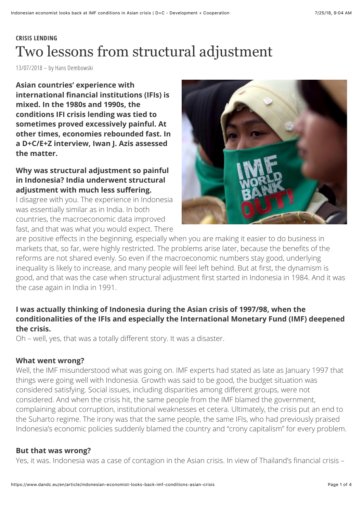# **CRISIS LENDING** Two lessons from structural adjustment

13/07/2018 – by Hans Dembowski

**Asian countries' experience with international financial institutions (IFIs) is mixed. In the 1980s and 1990s, the conditions IFI crisis lending was tied to sometimes proved excessively painful. At other times, economies rebounded fast. In a D+C/E+Z interview, Iwan J. Azis assessed the matter.**

# **Why was structural adjustment so painful in Indonesia? India underwent structural adjustment with much less suffering.**

I disagree with you. The experience in Indonesia was essentially similar as in India. In both countries, the macroeconomic data improved fast, and that was what you would expect. There



are positive effects in the beginning, especially when you are making it easier to do business in markets that, so far, were highly restricted. The problems arise later, because the benefits of the reforms are not shared evenly. So even if the macroeconomic numbers stay good, underlying inequality is likely to increase, and many people will feel left behind. But at first, the dynamism is good, and that was the case when structural adjustment first started in Indonesia in 1984. And it was the case again in India in 1991.

## **I was actually thinking of Indonesia during the Asian crisis of 1997/98, when the conditionalities of the IFIs and especially the International Monetary Fund (IMF) deepened the crisis.**

Oh – well, yes, that was a totally different story. It was a disaster.

## **What went wrong?**

Well, the IMF misunderstood what was going on. IMF experts had stated as late as January 1997 that things were going well with Indonesia. Growth was said to be good, the budget situation was considered satisfying. Social issues, including disparities among different groups, were not considered. And when the crisis hit, the same people from the IMF blamed the government, complaining about corruption, institutional weaknesses et cetera. Ultimately, the crisis put an end to the Suharto regime. The irony was that the same people, the same IFIs, who had previously praised Indonesia's economic policies suddenly blamed the country and "crony capitalism" for every problem.

## **But that was wrong?**

Yes, it was. Indonesia was a case of contagion in the Asian crisis. In view of Thailand's financial crisis –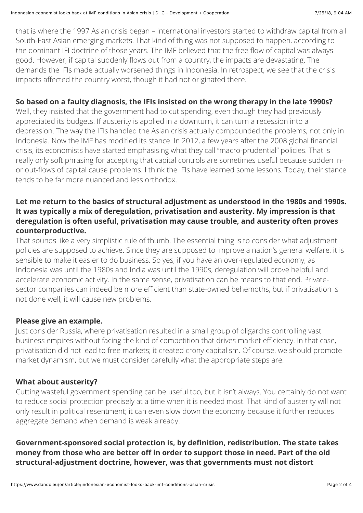that is where the 1997 Asian crisis began – international investors started to withdraw capital from all South-East Asian emerging markets. That kind of thing was not supposed to happen, according to the dominant IFI doctrine of those years. The IMF believed that the free flow of capital was always good. However, if capital suddenly flows out from a country, the impacts are devastating. The demands the IFIs made actually worsened things in Indonesia. In retrospect, we see that the crisis impacts affected the country worst, though it had not originated there.

## **So based on a faulty diagnosis, the IFIs insisted on the wrong therapy in the late 1990s?**

Well, they insisted that the government had to cut spending, even though they had previously appreciated its budgets. If austerity is applied in a downturn, it can turn a recession into a depression. The way the IFIs handled the Asian crisis actually compounded the problems, not only in Indonesia. Now the IMF has modified its stance. In 2012, a few years after the 2008 global financial crisis, its economists have started emphasising what they call "macro-prudential" policies. That is really only soft phrasing for accepting that capital controls are sometimes useful because sudden inor out-flows of capital cause problems. I think the IFIs have learned some lessons. Today, their stance tends to be far more nuanced and less orthodox.

## **Let me return to the basics of structural adjustment as understood in the 1980s and 1990s. It was typically a mix of deregulation, privatisation and austerity. My impression is that deregulation is often useful, privatisation may cause trouble, and austerity often proves counterproductive.**

That sounds like a very simplistic rule of thumb. The essential thing is to consider what adjustment policies are supposed to achieve. Since they are supposed to improve a nation's general welfare, it is sensible to make it easier to do business. So yes, if you have an over-regulated economy, as Indonesia was until the 1980s and India was until the 1990s, deregulation will prove helpful and accelerate economic activity. In the same sense, privatisation can be means to that end. Privatesector companies can indeed be more efficient than state-owned behemoths, but if privatisation is not done well, it will cause new problems.

## **Please give an example.**

Just consider Russia, where privatisation resulted in a small group of oligarchs controlling vast business empires without facing the kind of competition that drives market efficiency. In that case, privatisation did not lead to free markets; it created crony capitalism. Of course, we should promote market dynamism, but we must consider carefully what the appropriate steps are.

## **What about austerity?**

Cutting wasteful government spending can be useful too, but it isn't always. You certainly do not want to reduce social protection precisely at a time when it is needed most. That kind of austerity will not only result in political resentment; it can even slow down the economy because it further reduces aggregate demand when demand is weak already.

**Government-sponsored social protection is, by definition, redistribution. The state takes money from those who are better off in order to support those in need. Part of the old structural-adjustment doctrine, however, was that governments must not distort**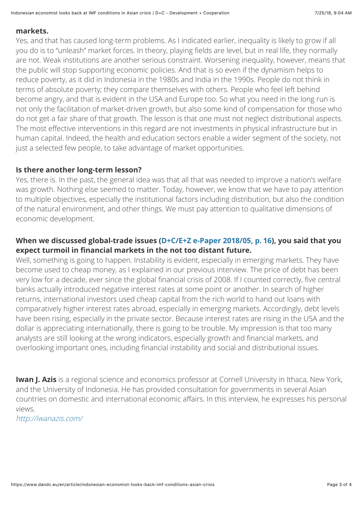#### **markets.**

Yes, and that has caused long-term problems. As I indicated earlier, inequality is likely to grow if all you do is to "unleash" market forces. In theory, playing fields are level, but in real life, they normally are not. Weak institutions are another serious constraint. Worsening inequality, however, means that the public will stop supporting economic policies. And that is so even if the dynamism helps to reduce poverty, as it did in Indonesia in the 1980s and India in the 1990s. People do not think in terms of absolute poverty; they compare themselves with others. People who feel left behind become angry, and that is evident in the USA and Europe too. So what you need in the long run is not only the facilitation of market-driven growth, but also some kind of compensation for those who do not get a fair share of that growth. The lesson is that one must not neglect distributional aspects. The most effective interventions in this regard are not investments in physical infrastructure but in human capital. Indeed, the health and education sectors enable a wider segment of the society, not just a selected few people, to take advantage of market opportunities.

#### **Is there another long-term lesson?**

Yes, there is. In the past, the general idea was that all that was needed to improve a nation's welfare was growth. Nothing else seemed to matter. Today, however, we know that we have to pay attention to multiple objectives, especially the institutional factors including distribution, but also the condition of the natural environment, and other things. We must pay attention to qualitative dimensions of economic development.

## **When we discussed global-trade issues ([D+C/E+Z e-Paper 2018/05, p.](http://xn--https-ix3b//www.dandc.eu/en/article/indonesian-economist-explains-why-unpredictable-policymaking-hurts-global-trade) 16), you said that you expect turmoil in financial markets in the not too distant future.**

Well, something is going to happen. Instability is evident, especially in emerging markets. They have become used to cheap money, as I explained in our previous interview. The price of debt has been very low for a decade, ever since the global financial crisis of 2008. If I counted correctly, five central banks actually introduced negative interest rates at some point or another. In search of higher returns, international investors used cheap capital from the rich world to hand out loans with comparatively higher interest rates abroad, especially in emerging markets. Accordingly, debt levels have been rising, especially in the private sector. Because interest rates are rising in the USA and the dollar is appreciating internationally, there is going to be trouble. My impression is that too many analysts are still looking at the wrong indicators, especially growth and financial markets, and overlooking important ones, including financial instability and social and distributional issues.

**Iwan J. Azis** is a regional science and economics professor at Cornell University in Ithaca, New York, and the University of Indonesia. He has provided consultation for governments in several Asian countries on domestic and international economic affairs. In this interview, he expresses his personal views.

<http://iwanazis.com/>